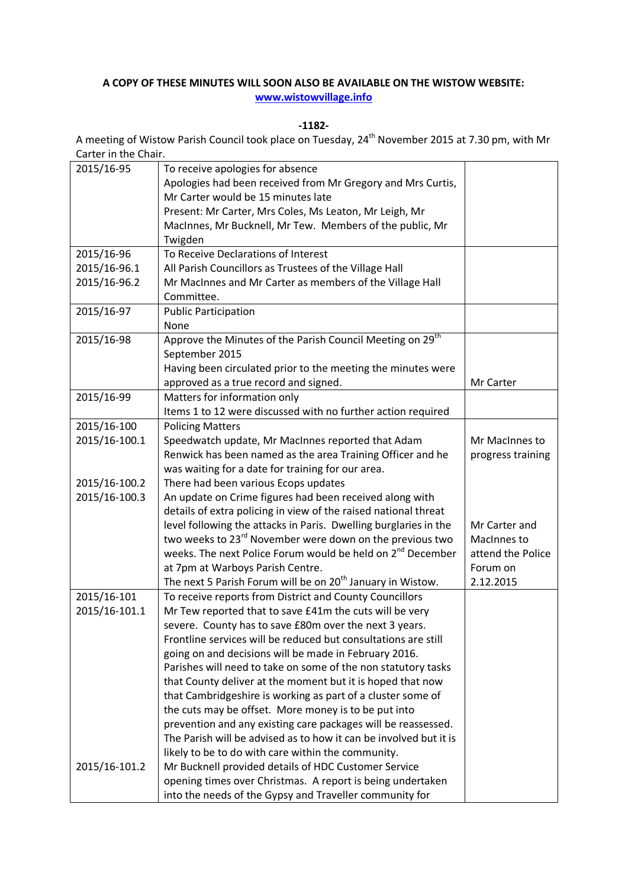## **A COPY OF THESE MINUTES WILL SOON ALSO BE AVAILABLE ON THE WISTOW WEBSITE: [www.wistowvillage.info](http://www.wistowvillage.info/)**

**-1182-**

A meeting of Wistow Parish Council took place on Tuesday, 24th November 2015 at 7.30 pm, with Mr Carter in the Chair.

| 2015/16-95    | To receive apologies for absence                                       |                   |
|---------------|------------------------------------------------------------------------|-------------------|
|               | Apologies had been received from Mr Gregory and Mrs Curtis,            |                   |
|               | Mr Carter would be 15 minutes late                                     |                   |
|               | Present: Mr Carter, Mrs Coles, Ms Leaton, Mr Leigh, Mr                 |                   |
|               | MacInnes, Mr Bucknell, Mr Tew. Members of the public, Mr               |                   |
|               | Twigden                                                                |                   |
| 2015/16-96    | To Receive Declarations of Interest                                    |                   |
| 2015/16-96.1  | All Parish Councillors as Trustees of the Village Hall                 |                   |
| 2015/16-96.2  | Mr MacInnes and Mr Carter as members of the Village Hall               |                   |
|               | Committee.                                                             |                   |
| 2015/16-97    | <b>Public Participation</b>                                            |                   |
|               | None                                                                   |                   |
| 2015/16-98    | Approve the Minutes of the Parish Council Meeting on 29 <sup>th</sup>  |                   |
|               | September 2015                                                         |                   |
|               | Having been circulated prior to the meeting the minutes were           |                   |
|               | approved as a true record and signed.                                  | Mr Carter         |
| 2015/16-99    | Matters for information only                                           |                   |
|               | Items 1 to 12 were discussed with no further action required           |                   |
| 2015/16-100   | <b>Policing Matters</b>                                                |                   |
| 2015/16-100.1 | Speedwatch update, Mr MacInnes reported that Adam                      | Mr MacInnes to    |
|               | Renwick has been named as the area Training Officer and he             | progress training |
|               | was waiting for a date for training for our area.                      |                   |
| 2015/16-100.2 | There had been various Ecops updates                                   |                   |
| 2015/16-100.3 | An update on Crime figures had been received along with                |                   |
|               | details of extra policing in view of the raised national threat        |                   |
|               | level following the attacks in Paris. Dwelling burglaries in the       | Mr Carter and     |
|               | two weeks to 23 <sup>rd</sup> November were down on the previous two   | MacInnes to       |
|               | weeks. The next Police Forum would be held on 2 <sup>nd</sup> December | attend the Police |
|               | at 7pm at Warboys Parish Centre.                                       | Forum on          |
|               | The next 5 Parish Forum will be on 20 <sup>th</sup> January in Wistow. | 2.12.2015         |
| 2015/16-101   | To receive reports from District and County Councillors                |                   |
| 2015/16-101.1 | Mr Tew reported that to save £41m the cuts will be very                |                   |
|               | severe. County has to save £80m over the next 3 years.                 |                   |
|               | Frontline services will be reduced but consultations are still         |                   |
|               | going on and decisions will be made in February 2016.                  |                   |
|               | Parishes will need to take on some of the non statutory tasks          |                   |
|               | that County deliver at the moment but it is hoped that now             |                   |
|               | that Cambridgeshire is working as part of a cluster some of            |                   |
|               | the cuts may be offset. More money is to be put into                   |                   |
|               | prevention and any existing care packages will be reassessed.          |                   |
|               | The Parish will be advised as to how it can be involved but it is      |                   |
|               | likely to be to do with care within the community.                     |                   |
| 2015/16-101.2 | Mr Bucknell provided details of HDC Customer Service                   |                   |
|               | opening times over Christmas. A report is being undertaken             |                   |
|               | into the needs of the Gypsy and Traveller community for                |                   |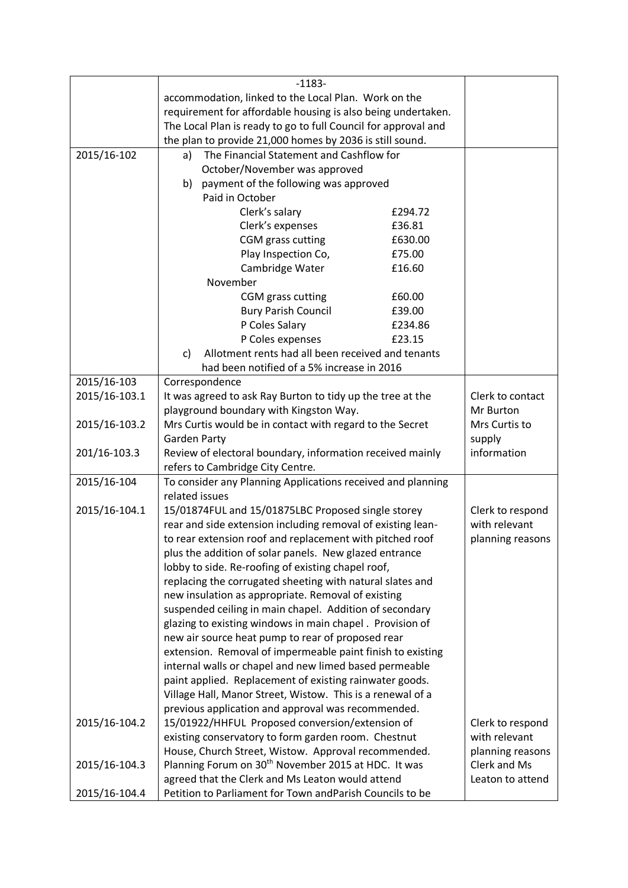|               | $-1183-$                                                          |         |                  |
|---------------|-------------------------------------------------------------------|---------|------------------|
|               | accommodation, linked to the Local Plan. Work on the              |         |                  |
|               | requirement for affordable housing is also being undertaken.      |         |                  |
|               | The Local Plan is ready to go to full Council for approval and    |         |                  |
|               | the plan to provide 21,000 homes by 2036 is still sound.          |         |                  |
| 2015/16-102   | The Financial Statement and Cashflow for<br>a)                    |         |                  |
|               | October/November was approved                                     |         |                  |
|               | payment of the following was approved<br>b)                       |         |                  |
|               | Paid in October                                                   |         |                  |
|               | Clerk's salary                                                    | £294.72 |                  |
|               | Clerk's expenses                                                  | £36.81  |                  |
|               | CGM grass cutting                                                 | £630.00 |                  |
|               | Play Inspection Co,                                               | £75.00  |                  |
|               | Cambridge Water                                                   | £16.60  |                  |
|               | November                                                          |         |                  |
|               | CGM grass cutting                                                 | £60.00  |                  |
|               | <b>Bury Parish Council</b>                                        | £39.00  |                  |
|               | P Coles Salary                                                    | £234.86 |                  |
|               | P Coles expenses                                                  | £23.15  |                  |
|               | Allotment rents had all been received and tenants<br>$\mathsf{C}$ |         |                  |
|               | had been notified of a 5% increase in 2016                        |         |                  |
| 2015/16-103   | Correspondence                                                    |         |                  |
| 2015/16-103.1 | It was agreed to ask Ray Burton to tidy up the tree at the        |         | Clerk to contact |
|               | playground boundary with Kingston Way.                            |         | Mr Burton        |
| 2015/16-103.2 | Mrs Curtis would be in contact with regard to the Secret          |         | Mrs Curtis to    |
|               | <b>Garden Party</b>                                               |         | supply           |
| 201/16-103.3  | Review of electoral boundary, information received mainly         |         | information      |
|               | refers to Cambridge City Centre.                                  |         |                  |
| 2015/16-104   | To consider any Planning Applications received and planning       |         |                  |
|               | related issues                                                    |         |                  |
| 2015/16-104.1 | 15/01874FUL and 15/01875LBC Proposed single storey                |         | Clerk to respond |
|               | rear and side extension including removal of existing lean-       |         | with relevant    |
|               | to rear extension roof and replacement with pitched roof          |         | planning reasons |
|               | plus the addition of solar panels. New glazed entrance            |         |                  |
|               | lobby to side. Re-roofing of existing chapel roof,                |         |                  |
|               | replacing the corrugated sheeting with natural slates and         |         |                  |
|               | new insulation as appropriate. Removal of existing                |         |                  |
|               | suspended ceiling in main chapel. Addition of secondary           |         |                  |
|               | glazing to existing windows in main chapel. Provision of          |         |                  |
|               | new air source heat pump to rear of proposed rear                 |         |                  |
|               | extension. Removal of impermeable paint finish to existing        |         |                  |
|               | internal walls or chapel and new limed based permeable            |         |                  |
|               | paint applied. Replacement of existing rainwater goods.           |         |                  |
|               | Village Hall, Manor Street, Wistow. This is a renewal of a        |         |                  |
|               | previous application and approval was recommended.                |         |                  |
| 2015/16-104.2 | 15/01922/HHFUL Proposed conversion/extension of                   |         | Clerk to respond |
|               | existing conservatory to form garden room. Chestnut               |         | with relevant    |
|               | House, Church Street, Wistow. Approval recommended.               |         | planning reasons |
| 2015/16-104.3 | Planning Forum on 30 <sup>th</sup> November 2015 at HDC. It was   |         | Clerk and Ms     |
|               | agreed that the Clerk and Ms Leaton would attend                  |         | Leaton to attend |
| 2015/16-104.4 | Petition to Parliament for Town andParish Councils to be          |         |                  |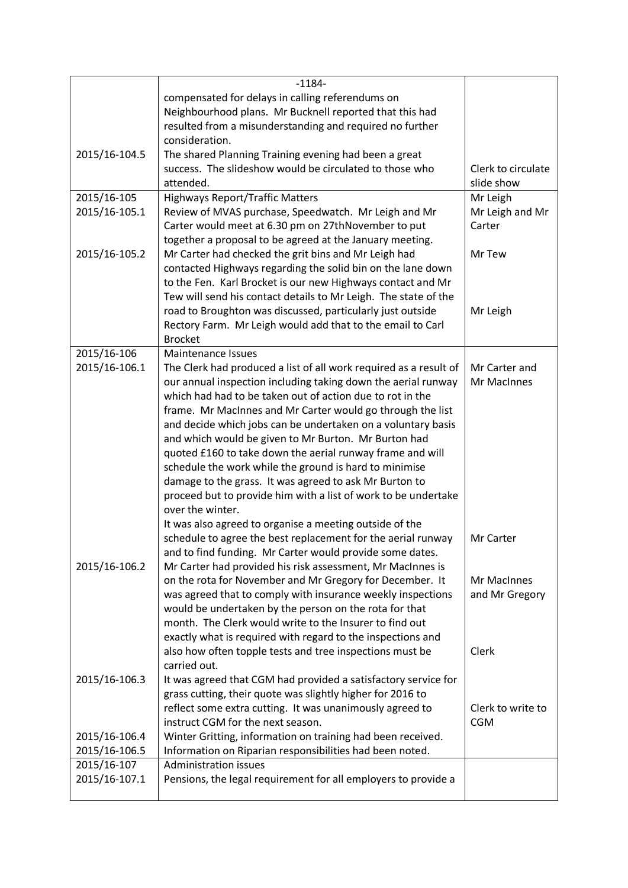|               | $-1184-$                                                                                                                |                    |
|---------------|-------------------------------------------------------------------------------------------------------------------------|--------------------|
|               | compensated for delays in calling referendums on                                                                        |                    |
|               | Neighbourhood plans. Mr Bucknell reported that this had                                                                 |                    |
|               | resulted from a misunderstanding and required no further                                                                |                    |
|               | consideration.                                                                                                          |                    |
| 2015/16-104.5 | The shared Planning Training evening had been a great                                                                   |                    |
|               | success. The slideshow would be circulated to those who                                                                 | Clerk to circulate |
|               | attended.                                                                                                               | slide show         |
| 2015/16-105   | <b>Highways Report/Traffic Matters</b>                                                                                  | Mr Leigh           |
| 2015/16-105.1 | Review of MVAS purchase, Speedwatch. Mr Leigh and Mr                                                                    | Mr Leigh and Mr    |
|               | Carter would meet at 6.30 pm on 27thNovember to put                                                                     | Carter             |
|               | together a proposal to be agreed at the January meeting.                                                                |                    |
| 2015/16-105.2 | Mr Carter had checked the grit bins and Mr Leigh had                                                                    | Mr Tew             |
|               | contacted Highways regarding the solid bin on the lane down                                                             |                    |
|               | to the Fen. Karl Brocket is our new Highways contact and Mr                                                             |                    |
|               | Tew will send his contact details to Mr Leigh. The state of the                                                         |                    |
|               | road to Broughton was discussed, particularly just outside                                                              | Mr Leigh           |
|               | Rectory Farm. Mr Leigh would add that to the email to Carl                                                              |                    |
|               | <b>Brocket</b>                                                                                                          |                    |
| 2015/16-106   | Maintenance Issues                                                                                                      |                    |
| 2015/16-106.1 | The Clerk had produced a list of all work required as a result of                                                       | Mr Carter and      |
|               | our annual inspection including taking down the aerial runway                                                           | Mr MacInnes        |
|               | which had had to be taken out of action due to rot in the                                                               |                    |
|               | frame. Mr MacInnes and Mr Carter would go through the list                                                              |                    |
|               | and decide which jobs can be undertaken on a voluntary basis                                                            |                    |
|               | and which would be given to Mr Burton. Mr Burton had                                                                    |                    |
|               | quoted £160 to take down the aerial runway frame and will                                                               |                    |
|               | schedule the work while the ground is hard to minimise                                                                  |                    |
|               | damage to the grass. It was agreed to ask Mr Burton to                                                                  |                    |
|               | proceed but to provide him with a list of work to be undertake                                                          |                    |
|               | over the winter.                                                                                                        |                    |
|               | It was also agreed to organise a meeting outside of the                                                                 |                    |
|               | schedule to agree the best replacement for the aerial runway                                                            | Mr Carter          |
|               | and to find funding. Mr Carter would provide some dates.                                                                |                    |
| 2015/16-106.2 | Mr Carter had provided his risk assessment, Mr MacInnes is                                                              | Mr MacInnes        |
|               | on the rota for November and Mr Gregory for December. It<br>was agreed that to comply with insurance weekly inspections | and Mr Gregory     |
|               | would be undertaken by the person on the rota for that                                                                  |                    |
|               | month. The Clerk would write to the Insurer to find out                                                                 |                    |
|               | exactly what is required with regard to the inspections and                                                             |                    |
|               | also how often topple tests and tree inspections must be                                                                | Clerk              |
|               | carried out.                                                                                                            |                    |
| 2015/16-106.3 | It was agreed that CGM had provided a satisfactory service for                                                          |                    |
|               | grass cutting, their quote was slightly higher for 2016 to                                                              |                    |
|               | reflect some extra cutting. It was unanimously agreed to                                                                | Clerk to write to  |
|               | instruct CGM for the next season.                                                                                       | <b>CGM</b>         |
| 2015/16-106.4 | Winter Gritting, information on training had been received.                                                             |                    |
| 2015/16-106.5 | Information on Riparian responsibilities had been noted.                                                                |                    |
| 2015/16-107   | <b>Administration issues</b>                                                                                            |                    |
| 2015/16-107.1 | Pensions, the legal requirement for all employers to provide a                                                          |                    |
|               |                                                                                                                         |                    |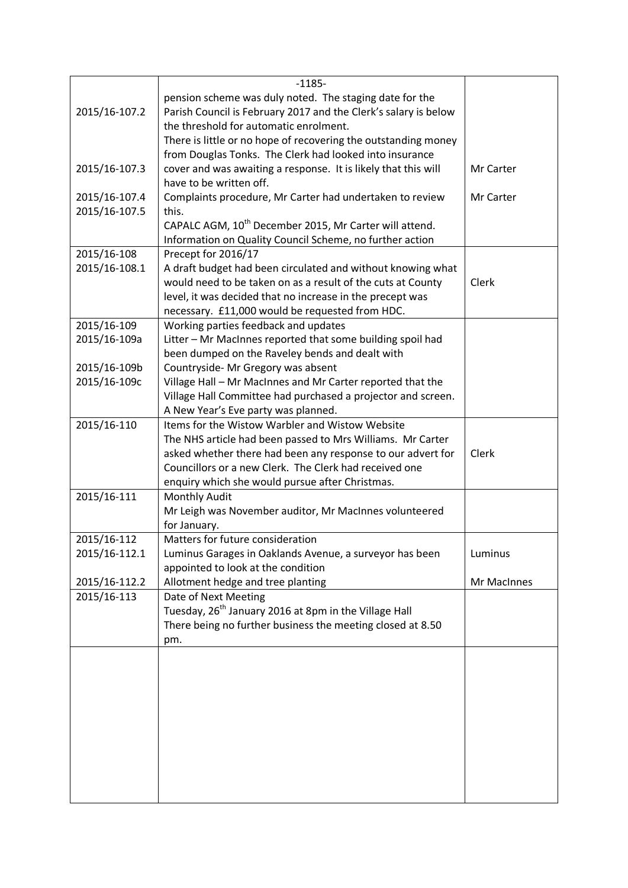|               | $-1185-$                                                           |             |  |
|---------------|--------------------------------------------------------------------|-------------|--|
|               | pension scheme was duly noted. The staging date for the            |             |  |
| 2015/16-107.2 | Parish Council is February 2017 and the Clerk's salary is below    |             |  |
|               | the threshold for automatic enrolment.                             |             |  |
|               | There is little or no hope of recovering the outstanding money     |             |  |
|               |                                                                    |             |  |
|               | from Douglas Tonks. The Clerk had looked into insurance            |             |  |
| 2015/16-107.3 | cover and was awaiting a response. It is likely that this will     | Mr Carter   |  |
|               | have to be written off.                                            |             |  |
| 2015/16-107.4 | Complaints procedure, Mr Carter had undertaken to review           | Mr Carter   |  |
| 2015/16-107.5 | this.                                                              |             |  |
|               | CAPALC AGM, 10 <sup>th</sup> December 2015, Mr Carter will attend. |             |  |
|               | Information on Quality Council Scheme, no further action           |             |  |
| 2015/16-108   | Precept for 2016/17                                                |             |  |
| 2015/16-108.1 | A draft budget had been circulated and without knowing what        |             |  |
|               | would need to be taken on as a result of the cuts at County        | Clerk       |  |
|               | level, it was decided that no increase in the precept was          |             |  |
|               | necessary. £11,000 would be requested from HDC.                    |             |  |
| 2015/16-109   | Working parties feedback and updates                               |             |  |
| 2015/16-109a  | Litter - Mr MacInnes reported that some building spoil had         |             |  |
|               | been dumped on the Raveley bends and dealt with                    |             |  |
| 2015/16-109b  | Countryside- Mr Gregory was absent                                 |             |  |
| 2015/16-109c  | Village Hall - Mr MacInnes and Mr Carter reported that the         |             |  |
|               | Village Hall Committee had purchased a projector and screen.       |             |  |
|               | A New Year's Eve party was planned.                                |             |  |
| 2015/16-110   | Items for the Wistow Warbler and Wistow Website                    |             |  |
|               | The NHS article had been passed to Mrs Williams. Mr Carter         |             |  |
|               | asked whether there had been any response to our advert for        | Clerk       |  |
|               | Councillors or a new Clerk. The Clerk had received one             |             |  |
|               | enquiry which she would pursue after Christmas.                    |             |  |
| 2015/16-111   | Monthly Audit                                                      |             |  |
|               | Mr Leigh was November auditor, Mr MacInnes volunteered             |             |  |
|               | for January.                                                       |             |  |
| 2015/16-112   | Matters for future consideration                                   |             |  |
| 2015/16-112.1 | Luminus Garages in Oaklands Avenue, a surveyor has been            | Luminus     |  |
|               | appointed to look at the condition                                 |             |  |
| 2015/16-112.2 | Allotment hedge and tree planting                                  | Mr MacInnes |  |
| 2015/16-113   | Date of Next Meeting                                               |             |  |
|               |                                                                    |             |  |
|               | Tuesday, 26 <sup>th</sup> January 2016 at 8pm in the Village Hall  |             |  |
|               | There being no further business the meeting closed at 8.50         |             |  |
|               | pm.                                                                |             |  |
|               |                                                                    |             |  |
|               |                                                                    |             |  |
|               |                                                                    |             |  |
|               |                                                                    |             |  |
|               |                                                                    |             |  |
|               |                                                                    |             |  |
|               |                                                                    |             |  |
|               |                                                                    |             |  |
|               |                                                                    |             |  |
|               |                                                                    |             |  |
|               |                                                                    |             |  |